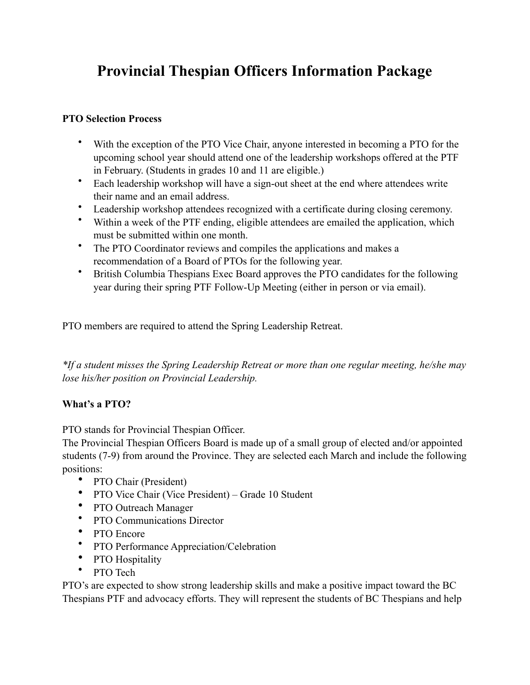# **Provincial Thespian Officers Information Package**

## **PTO Selection Process**

- With the exception of the PTO Vice Chair, anyone interested in becoming a PTO for the upcoming school year should attend one of the leadership workshops offered at the PTF in February. (Students in grades 10 and 11 are eligible.)
- Each leadership workshop will have a sign-out sheet at the end where attendees write their name and an email address.
- Leadership workshop attendees recognized with a certificate during closing ceremony.
- Within a week of the PTF ending, eligible attendees are emailed the application, which must be submitted within one month.
- The PTO Coordinator reviews and compiles the applications and makes a recommendation of a Board of PTOs for the following year.
- British Columbia Thespians Exec Board approves the PTO candidates for the following year during their spring PTF Follow-Up Meeting (either in person or via email).

PTO members are required to attend the Spring Leadership Retreat.

*\*If a student misses the Spring Leadership Retreat or more than one regular meeting, he/she may lose his/her position on Provincial Leadership.*

## **What's a PTO?**

PTO stands for Provincial Thespian Officer.

The Provincial Thespian Officers Board is made up of a small group of elected and/or appointed students (7-9) from around the Province. They are selected each March and include the following positions:

- PTO Chair (President)
- PTO Vice Chair (Vice President) Grade 10 Student
- PTO Outreach Manager
- PTO Communications Director
- PTO Encore
- PTO Performance Appreciation/Celebration
- PTO Hospitality<br>• PTO Tech
- PTO Tech

PTO's are expected to show strong leadership skills and make a positive impact toward the BC Thespians PTF and advocacy efforts. They will represent the students of BC Thespians and help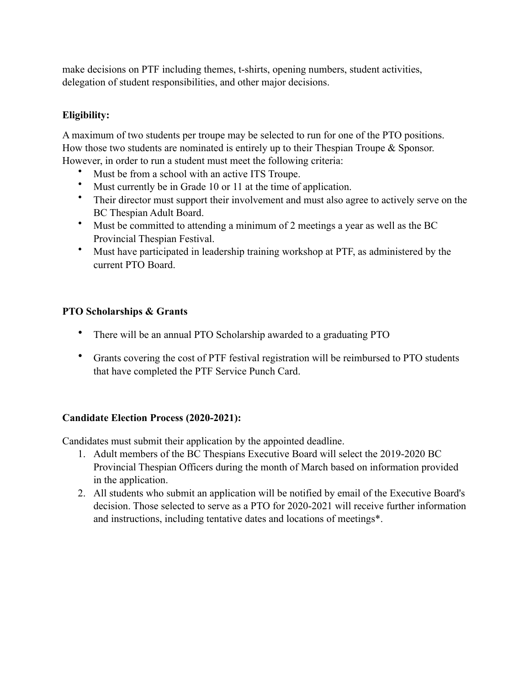make decisions on PTF including themes, t-shirts, opening numbers, student activities, delegation of student responsibilities, and other major decisions.

## **Eligibility:**

A maximum of two students per troupe may be selected to run for one of the PTO positions. How those two students are nominated is entirely up to their Thespian Troupe & Sponsor. However, in order to run a student must meet the following criteria:

- Must be from a school with an active ITS Troupe.
- Must currently be in Grade 10 or 11 at the time of application.
- Their director must support their involvement and must also agree to actively serve on the BC Thespian Adult Board.
- Must be committed to attending a minimum of 2 meetings a year as well as the BC Provincial Thespian Festival.
- Must have participated in leadership training workshop at PTF, as administered by the current PTO Board.

## **PTO Scholarships & Grants**

- There will be an annual PTO Scholarship awarded to a graduating PTO
- Grants covering the cost of PTF festival registration will be reimbursed to PTO students that have completed the PTF Service Punch Card.

## **Candidate Election Process (2020-2021):**

Candidates must submit their application by the appointed deadline.

- 1. Adult members of the BC Thespians Executive Board will select the 2019-2020 BC Provincial Thespian Officers during the month of March based on information provided in the application.
- 2. All students who submit an application will be notified by email of the Executive Board's decision. Those selected to serve as a PTO for 2020-2021 will receive further information and instructions, including tentative dates and locations of meetings\*.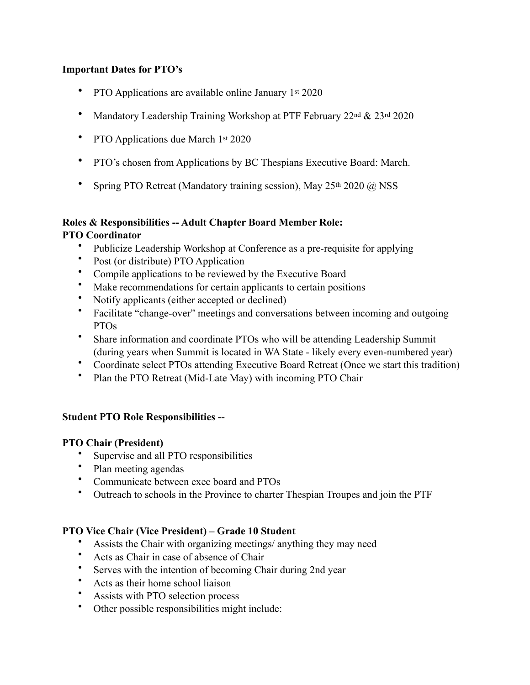#### **Important Dates for PTO's**

- PTO Applications are available online January 1st 2020
- Mandatory Leadership Training Workshop at PTF February 22<sup>nd</sup> & 23<sup>rd</sup> 2020
- PTO Applications due March 1st 2020
- PTO's chosen from Applications by BC Thespians Executive Board: March.
- Spring PTO Retreat (Mandatory training session), May 25<sup>th</sup> 2020 @ NSS

## **Roles & Responsibilities -- Adult Chapter Board Member Role:**

#### **PTO Coordinator**

- Publicize Leadership Workshop at Conference as a pre-requisite for applying
- Post (or distribute) PTO Application
- Compile applications to be reviewed by the Executive Board
- Make recommendations for certain applicants to certain positions
- Notify applicants (either accepted or declined)
- Facilitate "change-over" meetings and conversations between incoming and outgoing PTOs
- Share information and coordinate PTOs who will be attending Leadership Summit (during years when Summit is located in WA State - likely every even-numbered year)
- Coordinate select PTOs attending Executive Board Retreat (Once we start this tradition)
- Plan the PTO Retreat (Mid-Late May) with incoming PTO Chair

## **Student PTO Role Responsibilities --**

#### **PTO Chair (President)**

- Supervise and all PTO responsibilities
- Plan meeting agendas
- Communicate between exec board and PTOs
- Outreach to schools in the Province to charter Thespian Troupes and join the PTF

## **PTO Vice Chair (Vice President) – Grade 10 Student**

- Assists the Chair with organizing meetings/ anything they may need
- Acts as Chair in case of absence of Chair
- Serves with the intention of becoming Chair during 2nd year
- Acts as their home school liaison
- Assists with PTO selection process
- Other possible responsibilities might include: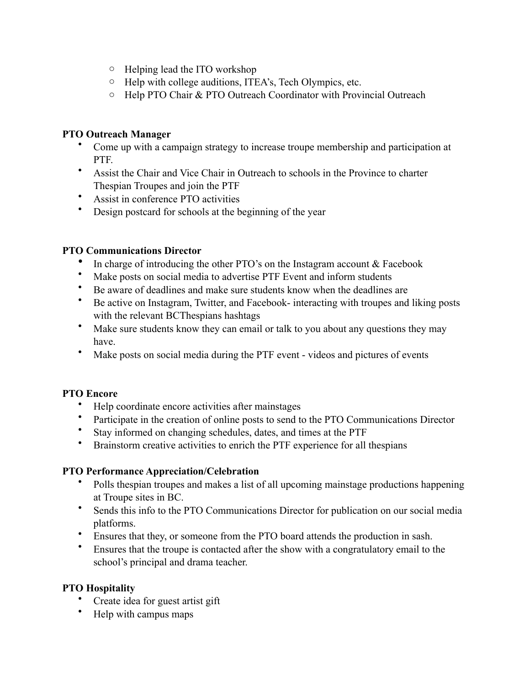- o Helping lead the ITO workshop
- o Help with college auditions, ITEA's, Tech Olympics, etc.
- o Help PTO Chair & PTO Outreach Coordinator with Provincial Outreach

## **PTO Outreach Manager**

- Come up with a campaign strategy to increase troupe membership and participation at PTF.
- Assist the Chair and Vice Chair in Outreach to schools in the Province to charter Thespian Troupes and join the PTF
- Assist in conference PTO activities
- Design postcard for schools at the beginning of the year

#### **PTO Communications Director**

- In charge of introducing the other PTO's on the Instagram account  $& Facebook$
- Make posts on social media to advertise PTF Event and inform students
- Be aware of deadlines and make sure students know when the deadlines are
- Be active on Instagram, Twitter, and Facebook- interacting with troupes and liking posts with the relevant BCThespians hashtags
- Make sure students know they can email or talk to you about any questions they may have.
- Make posts on social media during the PTF event videos and pictures of events

## **PTO Encore**

- Help coordinate encore activities after mainstages
- Participate in the creation of online posts to send to the PTO Communications Director
- Stay informed on changing schedules, dates, and times at the PTF
- Brainstorm creative activities to enrich the PTF experience for all thespians

#### **PTO Performance Appreciation/Celebration**

- Polls thespian troupes and makes a list of all upcoming mainstage productions happening at Troupe sites in BC.
- Sends this info to the PTO Communications Director for publication on our social media platforms.
- Ensures that they, or someone from the PTO board attends the production in sash.
- Ensures that the troupe is contacted after the show with a congratulatory email to the school's principal and drama teacher.

## **PTO Hospitality**

- Create idea for guest artist gift
- Help with campus maps